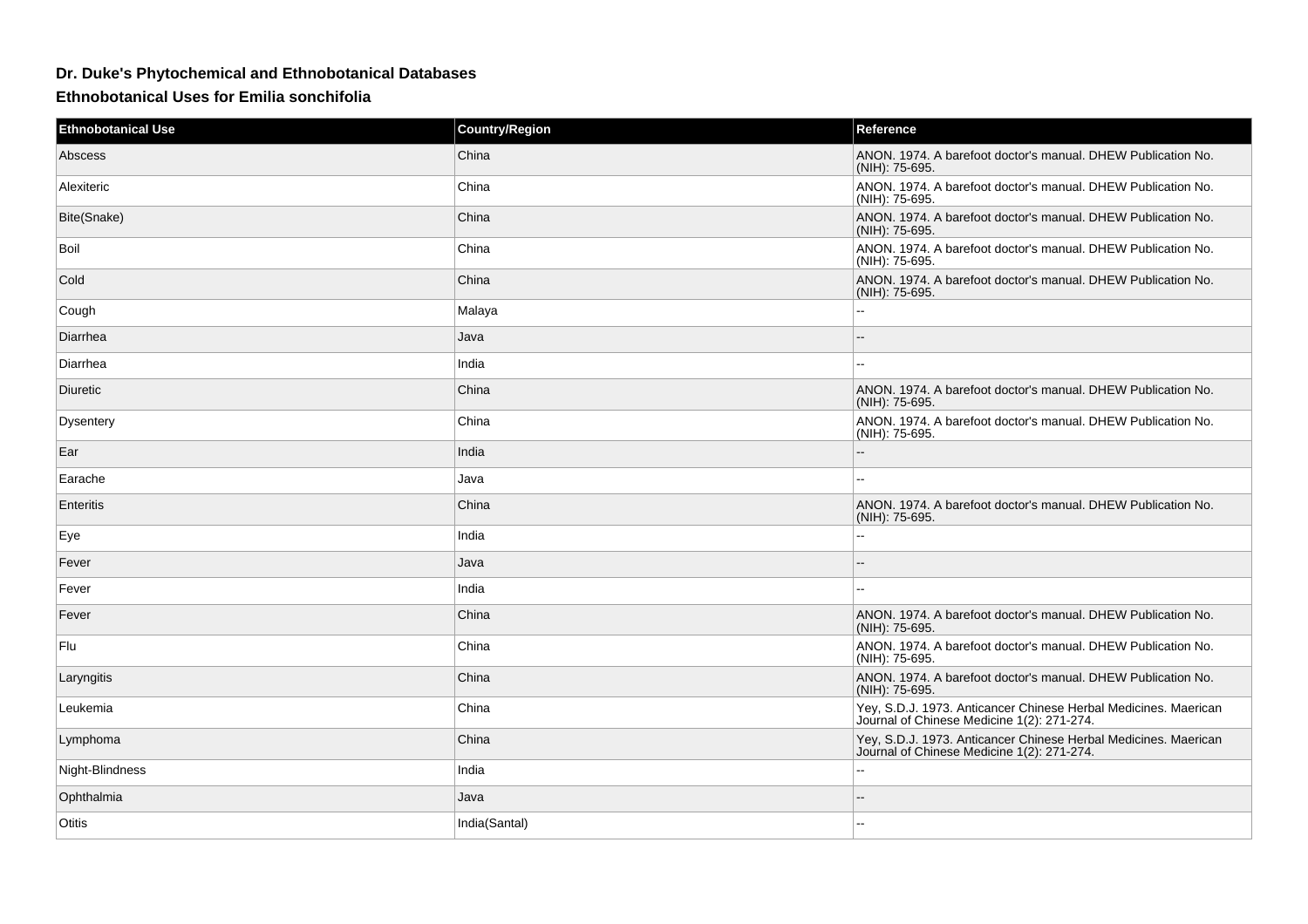## **Dr. Duke's Phytochemical and Ethnobotanical Databases**

**Ethnobotanical Uses for Emilia sonchifolia**

| <b>Ethnobotanical Use</b> | <b>Country/Region</b> | Reference                                                                                                     |
|---------------------------|-----------------------|---------------------------------------------------------------------------------------------------------------|
| Abscess                   | China                 | ANON. 1974. A barefoot doctor's manual. DHEW Publication No.<br>(NIH): 75-695.                                |
| Alexiteric                | China                 | ANON. 1974. A barefoot doctor's manual. DHEW Publication No.<br>(NIH): 75-695.                                |
| Bite(Snake)               | China                 | ANON. 1974. A barefoot doctor's manual. DHEW Publication No.<br>(NIH): 75-695.                                |
| Boil                      | China                 | ANON. 1974. A barefoot doctor's manual. DHEW Publication No.<br>(NIH): 75-695.                                |
| Cold                      | China                 | ANON. 1974. A barefoot doctor's manual. DHEW Publication No.<br>(NIH): 75-695.                                |
| Cough                     | Malaya                | $\sim$                                                                                                        |
| Diarrhea                  | Java                  | $\overline{a}$                                                                                                |
| Diarrhea                  | India                 | $\sim$ $\sim$                                                                                                 |
| Diuretic                  | China                 | ANON. 1974. A barefoot doctor's manual. DHEW Publication No.<br>(NIH): 75-695.                                |
| <b>Dysentery</b>          | China                 | ANON. 1974. A barefoot doctor's manual. DHEW Publication No.<br>(NIH): 75-695.                                |
| Ear                       | India                 | $\overline{\phantom{a}}$                                                                                      |
| Earache                   | Java                  | $\sim$ $\sim$                                                                                                 |
| Enteritis                 | China                 | ANON. 1974. A barefoot doctor's manual. DHEW Publication No.<br>(NIH): 75-695.                                |
| Eye                       | India                 | Ξ.                                                                                                            |
| Fever                     | Java                  | $\overline{a}$                                                                                                |
| Fever                     | India                 |                                                                                                               |
| Fever                     | China                 | ANON. 1974. A barefoot doctor's manual. DHEW Publication No.<br>(NIH): 75-695.                                |
| Flu                       | China                 | ANON. 1974. A barefoot doctor's manual. DHEW Publication No.<br>(NIH): 75-695.                                |
| Laryngitis                | China                 | ANON. 1974. A barefoot doctor's manual. DHEW Publication No.<br>(NIH): 75-695.                                |
| Leukemia                  | China                 | Yey, S.D.J. 1973. Anticancer Chinese Herbal Medicines. Maerican<br>Journal of Chinese Medicine 1(2): 271-274. |
| Lymphoma                  | China                 | Yey, S.D.J. 1973. Anticancer Chinese Herbal Medicines. Maerican<br>Journal of Chinese Medicine 1(2): 271-274. |
| Night-Blindness           | India                 | $\sim$ $\sim$                                                                                                 |
| Ophthalmia                | Java                  | ٠.                                                                                                            |
| Otitis                    | India(Santal)         | --                                                                                                            |